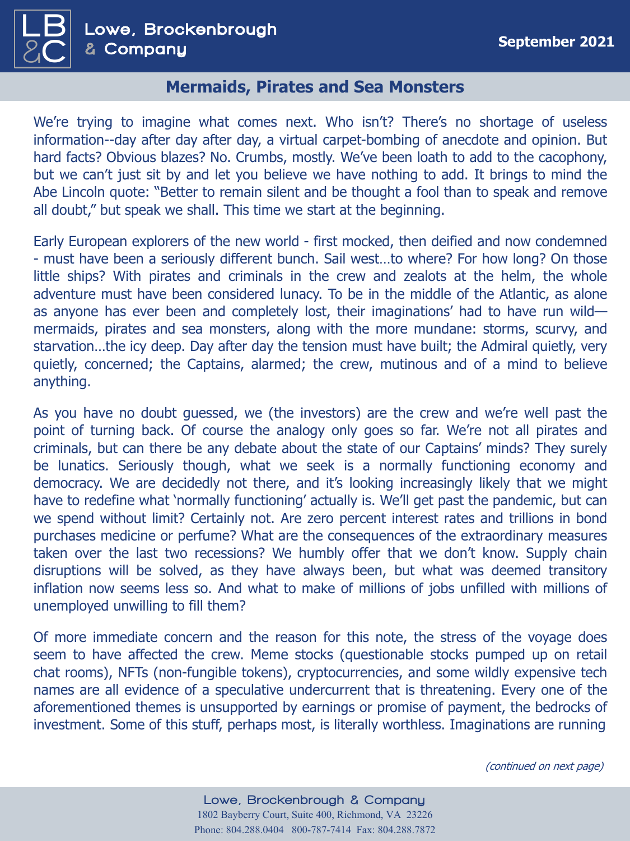

## **Mermaids, Pirates and Sea Monsters**

We're trying to imagine what comes next. Who isn't? There's no shortage of useless information--day after day after day, a virtual carpet-bombing of anecdote and opinion. But hard facts? Obvious blazes? No. Crumbs, mostly. We've been loath to add to the cacophony, but we can't just sit by and let you believe we have nothing to add. It brings to mind the Abe Lincoln quote: "Better to remain silent and be thought a fool than to speak and remove all doubt," but speak we shall. This time we start at the beginning.

Early European explorers of the new world - first mocked, then deified and now condemned - must have been a seriously different bunch. Sail west…to where? For how long? On those little ships? With pirates and criminals in the crew and zealots at the helm, the whole adventure must have been considered lunacy. To be in the middle of the Atlantic, as alone as anyone has ever been and completely lost, their imaginations' had to have run wild mermaids, pirates and sea monsters, along with the more mundane: storms, scurvy, and starvation…the icy deep. Day after day the tension must have built; the Admiral quietly, very quietly, concerned; the Captains, alarmed; the crew, mutinous and of a mind to believe anything.

As you have no doubt guessed, we (the investors) are the crew and we're well past the point of turning back. Of course the analogy only goes so far. We're not all pirates and criminals, but can there be any debate about the state of our Captains' minds? They surely be lunatics. Seriously though, what we seek is a normally functioning economy and democracy. We are decidedly not there, and it's looking increasingly likely that we might have to redefine what 'normally functioning' actually is. We'll get past the pandemic, but can we spend without limit? Certainly not. Are zero percent interest rates and trillions in bond purchases medicine or perfume? What are the consequences of the extraordinary measures taken over the last two recessions? We humbly offer that we don't know. Supply chain disruptions will be solved, as they have always been, but what was deemed transitory inflation now seems less so. And what to make of millions of jobs unfilled with millions of unemployed unwilling to fill them?

Of more immediate concern and the reason for this note, the stress of the voyage does seem to have affected the crew. Meme stocks (questionable stocks pumped up on retail chat rooms), NFTs (non-fungible tokens), cryptocurrencies, and some wildly expensive tech names are all evidence of a speculative undercurrent that is threatening. Every one of the aforementioned themes is unsupported by earnings or promise of payment, the bedrocks of investment. Some of this stuff, perhaps most, is literally worthless. Imaginations are running

(continued on next page)